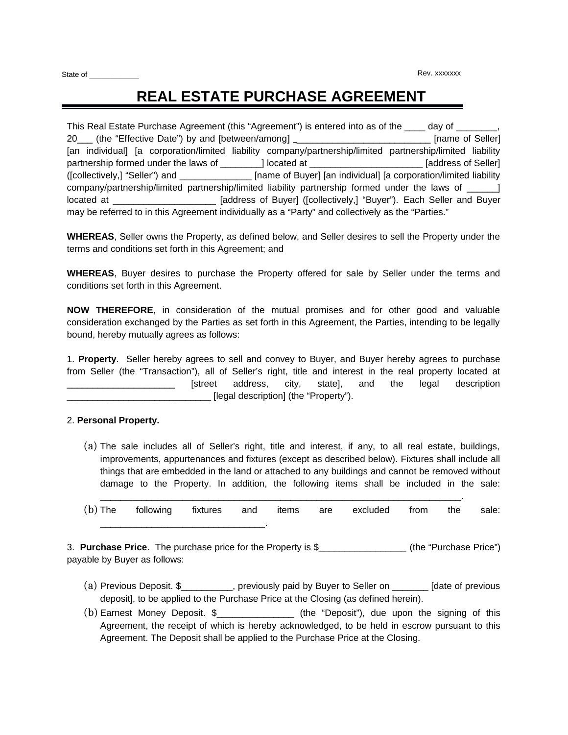# **REAL ESTATE PURCHASE AGREEMENT**

|                                                                                                | This Real Estate Purchase Agreement (this "Agreement") is entered into as of the                           | day of              |  |  |  |  |  |  |  |
|------------------------------------------------------------------------------------------------|------------------------------------------------------------------------------------------------------------|---------------------|--|--|--|--|--|--|--|
| 20___ (the "Effective Date") by and [between/among] __                                         | [name of Seller]                                                                                           |                     |  |  |  |  |  |  |  |
|                                                                                                | [an individual] [a corporation/limited liability company/partnership/limited partnership/limited liability |                     |  |  |  |  |  |  |  |
| partnership formed under the laws of [1] located at                                            |                                                                                                            | [address of Seller] |  |  |  |  |  |  |  |
| ([collectively,] "Seller") and                                                                 | [name of Buyer] [an individual] [a corporation/limited liability                                           |                     |  |  |  |  |  |  |  |
| company/partnership/limited partnership/limited liability partnership formed under the laws of |                                                                                                            |                     |  |  |  |  |  |  |  |
| located at                                                                                     | [address of Buyer] ([collectively,] "Buyer"). Each Seller and Buyer                                        |                     |  |  |  |  |  |  |  |
|                                                                                                | may be referred to in this Agreement individually as a "Party" and collectively as the "Parties."          |                     |  |  |  |  |  |  |  |

**WHEREAS**, Seller owns the Property, as defined below, and Seller desires to sell the Property under the terms and conditions set forth in this Agreement; and

**WHEREAS**, Buyer desires to purchase the Property offered for sale by Seller under the terms and conditions set forth in this Agreement.

**NOW THEREFORE**, in consideration of the mutual promises and for other good and valuable consideration exchanged by the Parties as set forth in this Agreement, the Parties, intending to be legally bound, hereby mutually agrees as follows:

1. **Property**. Seller hereby agrees to sell and convey to Buyer, and Buyer hereby agrees to purchase from Seller (the "Transaction"), all of Seller's right, title and interest in the real property located at [street address, city, state], and the legal description [legal description] (the "Property").

## 2. **Personal Property.**

(a) The sale includes all of Seller's right, title and interest, if any, to all real estate, buildings, improvements, appurtenances and fixtures (except as described below). Fixtures shall include all things that are embedded in the land or attached to any buildings and cannot be removed without damage to the Property. In addition, the following items shall be included in the sale:

|  |  |  | (b) The following fixtures and items are excluded from the sale: |  |  |
|--|--|--|------------------------------------------------------------------|--|--|
|  |  |  |                                                                  |  |  |

 $\mathcal{L}_\mathcal{L} = \mathcal{L}_\mathcal{L} = \mathcal{L}_\mathcal{L} = \mathcal{L}_\mathcal{L} = \mathcal{L}_\mathcal{L} = \mathcal{L}_\mathcal{L} = \mathcal{L}_\mathcal{L} = \mathcal{L}_\mathcal{L} = \mathcal{L}_\mathcal{L} = \mathcal{L}_\mathcal{L} = \mathcal{L}_\mathcal{L} = \mathcal{L}_\mathcal{L} = \mathcal{L}_\mathcal{L} = \mathcal{L}_\mathcal{L} = \mathcal{L}_\mathcal{L} = \mathcal{L}_\mathcal{L} = \mathcal{L}_\mathcal{L}$ 

3. **Purchase Price**. The purchase price for the Property is \$\_\_\_\_\_\_\_\_\_\_\_\_\_\_\_\_\_ (the "Purchase Price") payable by Buyer as follows:

- (a) Previous Deposit. \$\_\_\_\_\_\_\_\_\_\_, previously paid by Buyer to Seller on \_\_\_\_\_\_\_ [date of previous deposit], to be applied to the Purchase Price at the Closing (as defined herein).
- (b) Earnest Money Deposit. \$\_\_\_\_\_\_\_\_\_\_\_\_\_\_\_ (the "Deposit"), due upon the signing of this Agreement, the receipt of which is hereby acknowledged, to be held in escrow pursuant to this Agreement. The Deposit shall be applied to the Purchase Price at the Closing.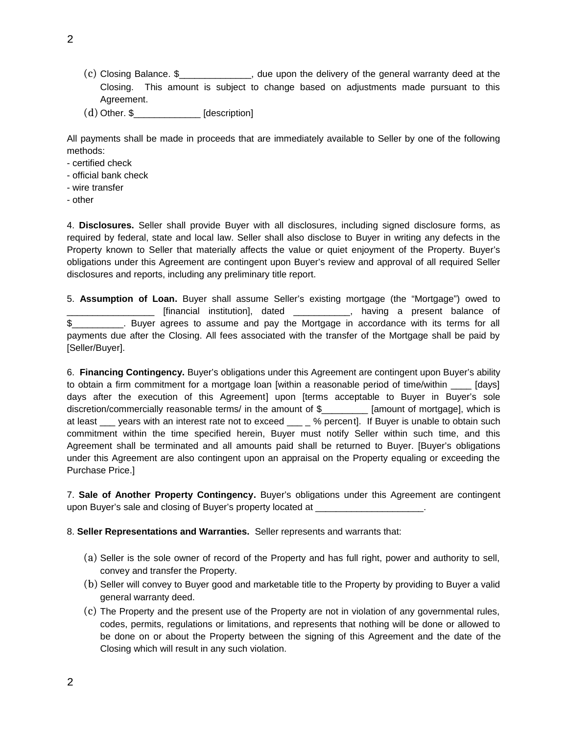- (c) Closing Balance. \$\_\_\_\_\_\_\_\_\_\_\_\_\_\_, due upon the delivery of the general warranty deed at the Closing. This amount is subject to change based on adjustments made pursuant to this Agreement.
- (d) Other. \$\_\_\_\_\_\_\_\_\_\_\_\_\_ [description]

All payments shall be made in proceeds that are immediately available to Seller by one of the following methods:

- certified check
- official bank check
- wire transfer
- other

4. **Disclosures.** Seller shall provide Buyer with all disclosures, including signed disclosure forms, as required by federal, state and local law. Seller shall also disclose to Buyer in writing any defects in the Property known to Seller that materially affects the value or quiet enjoyment of the Property. Buyer's obligations under this Agreement are contingent upon Buyer's review and approval of all required Seller disclosures and reports, including any preliminary title report.

5. **Assumption of Loan.** Buyer shall assume Seller's existing mortgage (the "Mortgage") owed to **Example 2** [financial institution], dated \_\_\_\_\_\_\_\_\_\_\_, having a present balance of \$\_\_\_\_\_\_\_\_\_\_. Buyer agrees to assume and pay the Mortgage in accordance with its terms for all payments due after the Closing. All fees associated with the transfer of the Mortgage shall be paid by [Seller/Buyer].

6. **Financing Contingency.** Buyer's obligations under this Agreement are contingent upon Buyer's ability to obtain a firm commitment for a mortgage loan [within a reasonable period of time/within [days] days after the execution of this Agreement] upon [terms acceptable to Buyer in Buyer's sole discretion/commercially reasonable terms/ in the amount of \$ [amount of mortgage], which is at least years with an interest rate not to exceed \_\_\_ % percent]. If Buyer is unable to obtain such commitment within the time specified herein, Buyer must notify Seller within such time, and this Agreement shall be terminated and all amounts paid shall be returned to Buyer. [Buyer's obligations under this Agreement are also contingent upon an appraisal on the Property equaling or exceeding the Purchase Price.]

7. **Sale of Another Property Contingency.** Buyer's obligations under this Agreement are contingent upon Buyer's sale and closing of Buyer's property located at \_\_\_\_\_\_\_\_\_\_\_\_\_\_\_\_\_\_\_\_\_.

## 8. **Seller Representations and Warranties.** Seller represents and warrants that:

- (a) Seller is the sole owner of record of the Property and has full right, power and authority to sell, convey and transfer the Property.
- (b) Seller will convey to Buyer good and marketable title to the Property by providing to Buyer a valid general warranty deed.
- (c) The Property and the present use of the Property are not in violation of any governmental rules, codes, permits, regulations or limitations, and represents that nothing will be done or allowed to be done on or about the Property between the signing of this Agreement and the date of the Closing which will result in any such violation.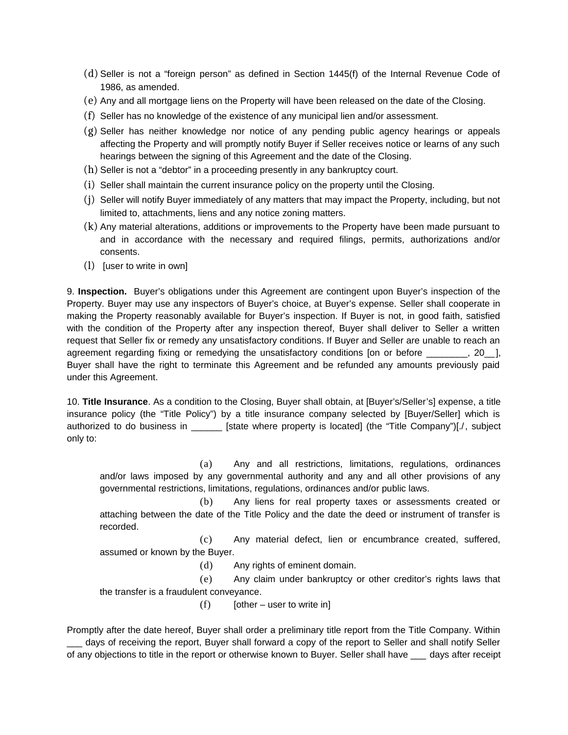- (d) Seller is not a "foreign person" as defined in Section 1445(f) of the Internal Revenue Code of 1986, as amended.
- (e) Any and all mortgage liens on the Property will have been released on the date of the Closing.
- (f) Seller has no knowledge of the existence of any municipal lien and/or assessment.
- (g) Seller has neither knowledge nor notice of any pending public agency hearings or appeals affecting the Property and will promptly notify Buyer if Seller receives notice or learns of any such hearings between the signing of this Agreement and the date of the Closing.
- (h) Seller is not a "debtor" in a proceeding presently in any bankruptcy court.
- (i) Seller shall maintain the current insurance policy on the property until the Closing.
- (j) Seller will notify Buyer immediately of any matters that may impact the Property, including, but not limited to, attachments, liens and any notice zoning matters.
- (k) Any material alterations, additions or improvements to the Property have been made pursuant to and in accordance with the necessary and required filings, permits, authorizations and/or consents.
- (l) [user to write in own]

9. **Inspection.** Buyer's obligations under this Agreement are contingent upon Buyer's inspection of the Property. Buyer may use any inspectors of Buyer's choice, at Buyer's expense. Seller shall cooperate in making the Property reasonably available for Buyer's inspection. If Buyer is not, in good faith, satisfied with the condition of the Property after any inspection thereof, Buyer shall deliver to Seller a written request that Seller fix or remedy any unsatisfactory conditions. If Buyer and Seller are unable to reach an agreement regarding fixing or remedying the unsatisfactory conditions [on or before  $\qquad \qquad$ , 20 ], Buyer shall have the right to terminate this Agreement and be refunded any amounts previously paid under this Agreement.

10. **Title Insurance**. As a condition to the Closing, Buyer shall obtain, at [Buyer's/Seller's] expense, a title insurance policy (the "Title Policy") by a title insurance company selected by [Buyer/Seller] which is authorized to do business in \_\_\_\_\_\_\_ [state where property is located] (the "Title Company")[./, subject only to:

(a) Any and all restrictions, limitations, regulations, ordinances and/or laws imposed by any governmental authority and any and all other provisions of any governmental restrictions, limitations, regulations, ordinances and/or public laws.

(b) Any liens for real property taxes or assessments created or attaching between the date of the Title Policy and the date the deed or instrument of transfer is recorded.

(c) Any material defect, lien or encumbrance created, suffered, assumed or known by the Buyer.

(d) Any rights of eminent domain.

(e) Any claim under bankruptcy or other creditor's rights laws that the transfer is a fraudulent conveyance.

 $(f)$  [other – user to write in]

Promptly after the date hereof, Buyer shall order a preliminary title report from the Title Company. Within \_\_\_ days of receiving the report, Buyer shall forward a copy of the report to Seller and shall notify Seller of any objections to title in the report or otherwise known to Buyer. Seller shall have \_\_\_ days after receipt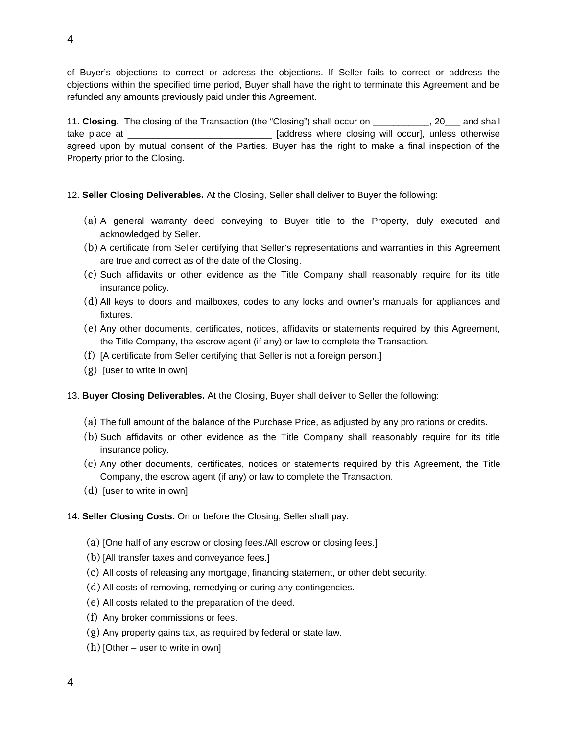of Buyer's objections to correct or address the objections. If Seller fails to correct or address the objections within the specified time period, Buyer shall have the right to terminate this Agreement and be refunded any amounts previously paid under this Agreement.

11. **Closing**. The closing of the Transaction (the "Closing") shall occur on \_\_\_\_\_\_\_\_\_\_, 20\_\_\_ and shall take place at  $\qquad \qquad$  [address where closing will occur], unless otherwise agreed upon by mutual consent of the Parties. Buyer has the right to make a final inspection of the Property prior to the Closing.

- 12. **Seller Closing Deliverables.** At the Closing, Seller shall deliver to Buyer the following:
	- (a) A general warranty deed conveying to Buyer title to the Property, duly executed and acknowledged by Seller.
	- (b) A certificate from Seller certifying that Seller's representations and warranties in this Agreement are true and correct as of the date of the Closing.
	- (c) Such affidavits or other evidence as the Title Company shall reasonably require for its title insurance policy.
	- (d) All keys to doors and mailboxes, codes to any locks and owner's manuals for appliances and fixtures.
	- (e) Any other documents, certificates, notices, affidavits or statements required by this Agreement, the Title Company, the escrow agent (if any) or law to complete the Transaction.
	- (f) [A certificate from Seller certifying that Seller is not a foreign person.]
	- (g) [user to write in own]

## 13. **Buyer Closing Deliverables.** At the Closing, Buyer shall deliver to Seller the following:

- (a) The full amount of the balance of the Purchase Price, as adjusted by any pro rations or credits.
- (b) Such affidavits or other evidence as the Title Company shall reasonably require for its title insurance policy.
- (c) Any other documents, certificates, notices or statements required by this Agreement, the Title Company, the escrow agent (if any) or law to complete the Transaction.
- (d) [user to write in own]

## 14. **Seller Closing Costs.** On or before the Closing, Seller shall pay:

- (a) [One half of any escrow or closing fees./All escrow or closing fees.]
- (b) [All transfer taxes and conveyance fees.]
- (c) All costs of releasing any mortgage, financing statement, or other debt security.
- (d) All costs of removing, remedying or curing any contingencies.
- (e) All costs related to the preparation of the deed.
- (f) Any broker commissions or fees.
- (g) Any property gains tax, as required by federal or state law.
- $(h)$  [Other user to write in own]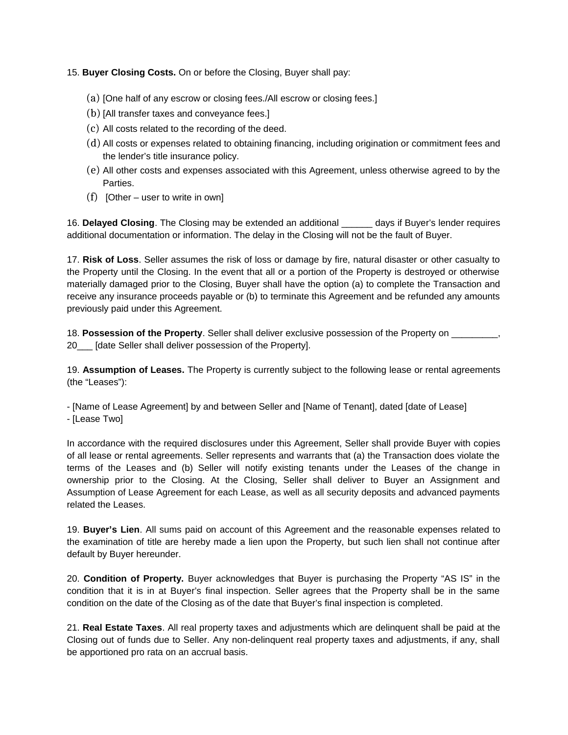## 15. **Buyer Closing Costs.** On or before the Closing, Buyer shall pay:

- (a) [One half of any escrow or closing fees./All escrow or closing fees.]
- (b) [All transfer taxes and conveyance fees.]
- (c) All costs related to the recording of the deed.
- (d) All costs or expenses related to obtaining financing, including origination or commitment fees and the lender's title insurance policy.
- (e) All other costs and expenses associated with this Agreement, unless otherwise agreed to by the Parties.
- $(f)$  [Other user to write in own]

16. **Delayed Closing**. The Closing may be extended an additional \_\_\_\_\_\_ days if Buyer's lender requires additional documentation or information. The delay in the Closing will not be the fault of Buyer.

17. **Risk of Loss**. Seller assumes the risk of loss or damage by fire, natural disaster or other casualty to the Property until the Closing. In the event that all or a portion of the Property is destroyed or otherwise materially damaged prior to the Closing, Buyer shall have the option (a) to complete the Transaction and receive any insurance proceeds payable or (b) to terminate this Agreement and be refunded any amounts previously paid under this Agreement.

18. **Possession of the Property**. Seller shall deliver exclusive possession of the Property on \_\_\_\_\_\_\_\_\_, 20 [date Seller shall deliver possession of the Property].

19. **Assumption of Leases.** The Property is currently subject to the following lease or rental agreements (the "Leases"):

- [Name of Lease Agreement] by and between Seller and [Name of Tenant], dated [date of Lease]

- [Lease Two]

In accordance with the required disclosures under this Agreement, Seller shall provide Buyer with copies of all lease or rental agreements. Seller represents and warrants that (a) the Transaction does violate the terms of the Leases and (b) Seller will notify existing tenants under the Leases of the change in ownership prior to the Closing. At the Closing, Seller shall deliver to Buyer an Assignment and Assumption of Lease Agreement for each Lease, as well as all security deposits and advanced payments related the Leases.

19. **Buyer's Lien**. All sums paid on account of this Agreement and the reasonable expenses related to the examination of title are hereby made a lien upon the Property, but such lien shall not continue after default by Buyer hereunder.

20. **Condition of Property.** Buyer acknowledges that Buyer is purchasing the Property "AS IS" in the condition that it is in at Buyer's final inspection. Seller agrees that the Property shall be in the same condition on the date of the Closing as of the date that Buyer's final inspection is completed.

21. **Real Estate Taxes**. All real property taxes and adjustments which are delinquent shall be paid at the Closing out of funds due to Seller. Any non-delinquent real property taxes and adjustments, if any, shall be apportioned pro rata on an accrual basis.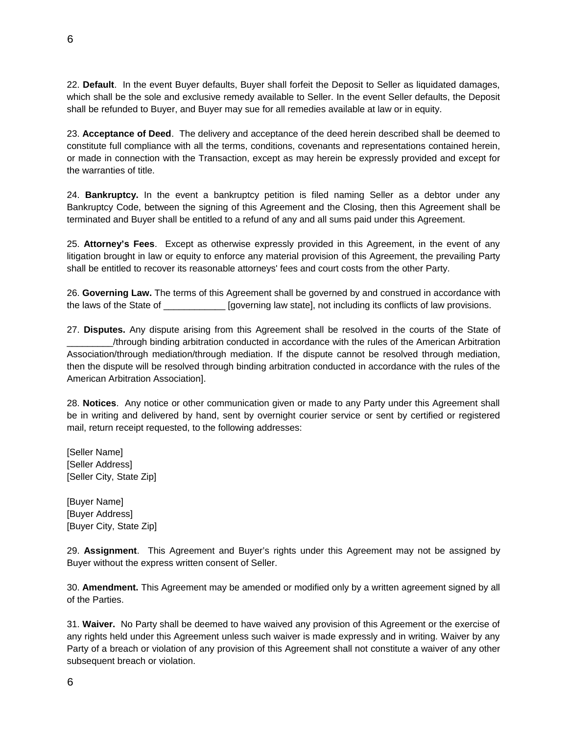22. **Default**. In the event Buyer defaults, Buyer shall forfeit the Deposit to Seller as liquidated damages, which shall be the sole and exclusive remedy available to Seller. In the event Seller defaults, the Deposit shall be refunded to Buyer, and Buyer may sue for all remedies available at law or in equity.

23. **Acceptance of Deed**. The delivery and acceptance of the deed herein described shall be deemed to constitute full compliance with all the terms, conditions, covenants and representations contained herein, or made in connection with the Transaction, except as may herein be expressly provided and except for the warranties of title.

24. **Bankruptcy.** In the event a bankruptcy petition is filed naming Seller as a debtor under any Bankruptcy Code, between the signing of this Agreement and the Closing, then this Agreement shall be terminated and Buyer shall be entitled to a refund of any and all sums paid under this Agreement.

25. **Attorney's Fees**. Except as otherwise expressly provided in this Agreement, in the event of any litigation brought in law or equity to enforce any material provision of this Agreement, the prevailing Party shall be entitled to recover its reasonable attorneys' fees and court costs from the other Party.

26. **Governing Law.** The terms of this Agreement shall be governed by and construed in accordance with the laws of the State of \_\_\_\_\_\_\_\_\_\_\_\_\_ [governing law state], not including its conflicts of law provisions.

27. **Disputes.** Any dispute arising from this Agreement shall be resolved in the courts of the State of \_\_\_\_\_\_\_\_\_/through binding arbitration conducted in accordance with the rules of the American Arbitration Association/through mediation/through mediation. If the dispute cannot be resolved through mediation, then the dispute will be resolved through binding arbitration conducted in accordance with the rules of the American Arbitration Association].

28. **Notices**. Any notice or other communication given or made to any Party under this Agreement shall be in writing and delivered by hand, sent by overnight courier service or sent by certified or registered mail, return receipt requested, to the following addresses:

[Seller Name] [Seller Address] [Seller City, State Zip]

[Buyer Name] [Buyer Address] [Buyer City, State Zip]

29. **Assignment**. This Agreement and Buyer's rights under this Agreement may not be assigned by Buyer without the express written consent of Seller.

30. **Amendment.** This Agreement may be amended or modified only by a written agreement signed by all of the Parties.

31. **Waiver.** No Party shall be deemed to have waived any provision of this Agreement or the exercise of any rights held under this Agreement unless such waiver is made expressly and in writing. Waiver by any Party of a breach or violation of any provision of this Agreement shall not constitute a waiver of any other subsequent breach or violation.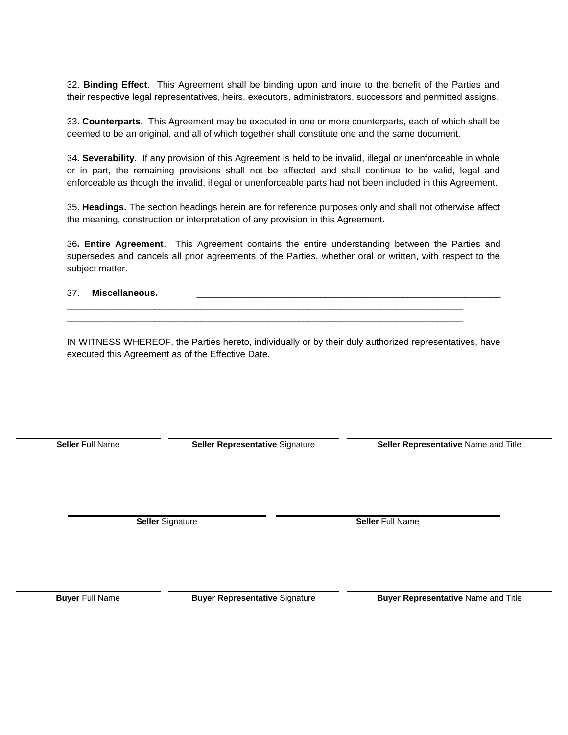32. **Binding Effect**. This Agreement shall be binding upon and inure to the benefit of the Parties and their respective legal representatives, heirs, executors, administrators, successors and permitted assigns.

33. **Counterparts.** This Agreement may be executed in one or more counterparts, each of which shall be deemed to be an original, and all of which together shall constitute one and the same document.

34**. Severability.** If any provision of this Agreement is held to be invalid, illegal or unenforceable in whole or in part, the remaining provisions shall not be affected and shall continue to be valid, legal and enforceable as though the invalid, illegal or unenforceable parts had not been included in this Agreement.

35. **Headings.** The section headings herein are for reference purposes only and shall not otherwise affect the meaning, construction or interpretation of any provision in this Agreement.

36**. Entire Agreement**. This Agreement contains the entire understanding between the Parties and supersedes and cancels all prior agreements of the Parties, whether oral or written, with respect to the subject matter.

37. Miscellaneous.

IN WITNESS WHEREOF, the Parties hereto, individually or by their duly authorized representatives, have executed this Agreement as of the Effective Date.

**Seller** Full Name **Seller Representative** Signature **Seller Representative** Name and Title

**Seller** Signature **Seller** Full Name

**Buyer** Full Name **Buyer Representative** Signature **Buyer Representative** Name and Title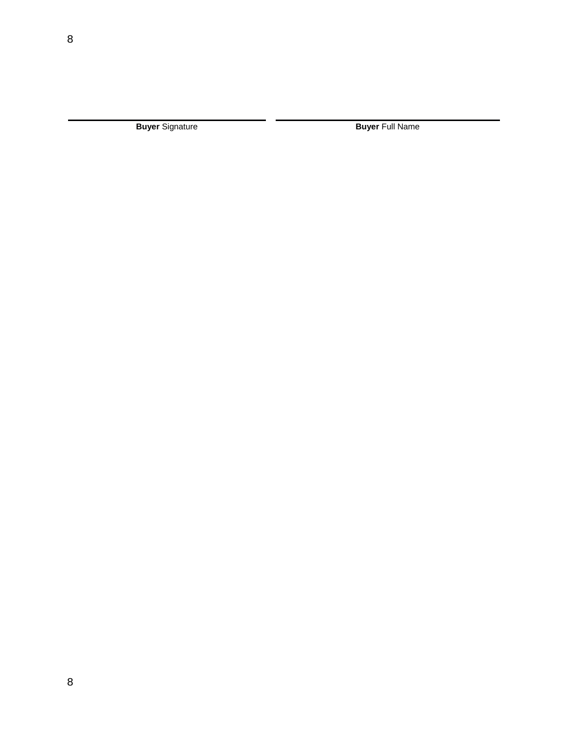**Buyer** Signature **Buyer** Signature **Buyer** Full Name